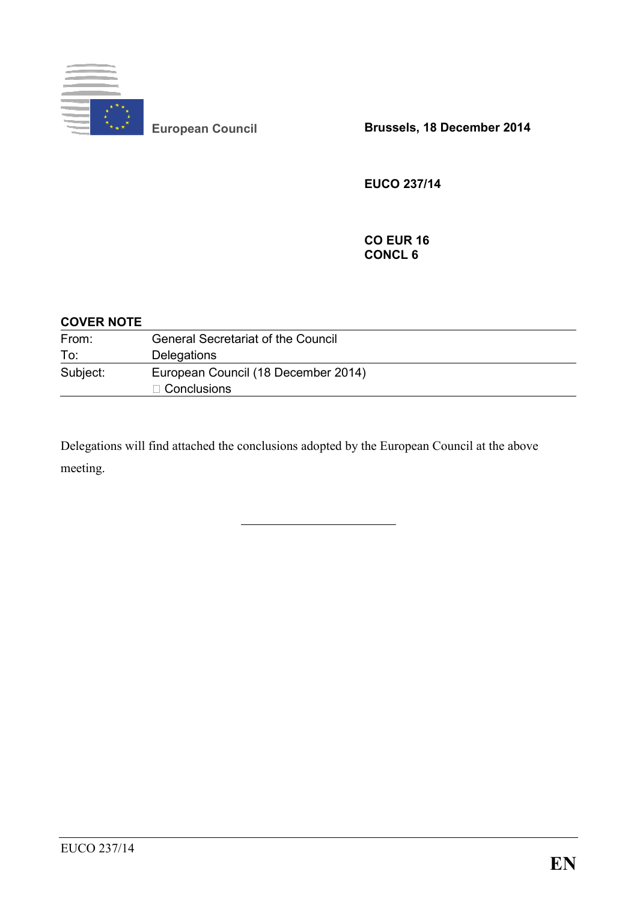

**European Council Brussels, 18 December 2014** 

**EUCO 237/14** 

**CO EUR 16 CONCL 6** 

## **COVER NOTE**

| From:    | <b>General Secretariat of the Council</b> |
|----------|-------------------------------------------|
| To:      | Delegations                               |
| Subject: | European Council (18 December 2014)       |
|          | $\Box$ Conclusions                        |

Delegations will find attached the conclusions adopted by the European Council at the above meeting.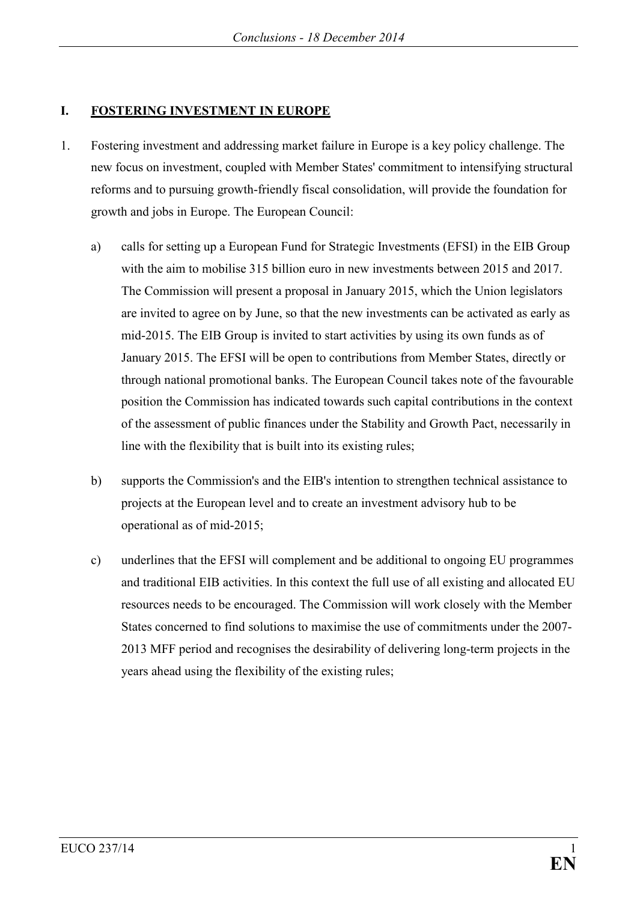## **I. FOSTERING INVESTMENT IN EUROPE**

- 1. Fostering investment and addressing market failure in Europe is a key policy challenge. The new focus on investment, coupled with Member States' commitment to intensifying structural reforms and to pursuing growth-friendly fiscal consolidation, will provide the foundation for growth and jobs in Europe. The European Council:
	- a) calls for setting up a European Fund for Strategic Investments (EFSI) in the EIB Group with the aim to mobilise 315 billion euro in new investments between 2015 and 2017. The Commission will present a proposal in January 2015, which the Union legislators are invited to agree on by June, so that the new investments can be activated as early as mid-2015. The EIB Group is invited to start activities by using its own funds as of January 2015. The EFSI will be open to contributions from Member States, directly or through national promotional banks. The European Council takes note of the favourable position the Commission has indicated towards such capital contributions in the context of the assessment of public finances under the Stability and Growth Pact, necessarily in line with the flexibility that is built into its existing rules;
	- b) supports the Commission's and the EIB's intention to strengthen technical assistance to projects at the European level and to create an investment advisory hub to be operational as of mid-2015;
	- c) underlines that the EFSI will complement and be additional to ongoing EU programmes and traditional EIB activities. In this context the full use of all existing and allocated EU resources needs to be encouraged. The Commission will work closely with the Member States concerned to find solutions to maximise the use of commitments under the 2007- 2013 MFF period and recognises the desirability of delivering long-term projects in the years ahead using the flexibility of the existing rules;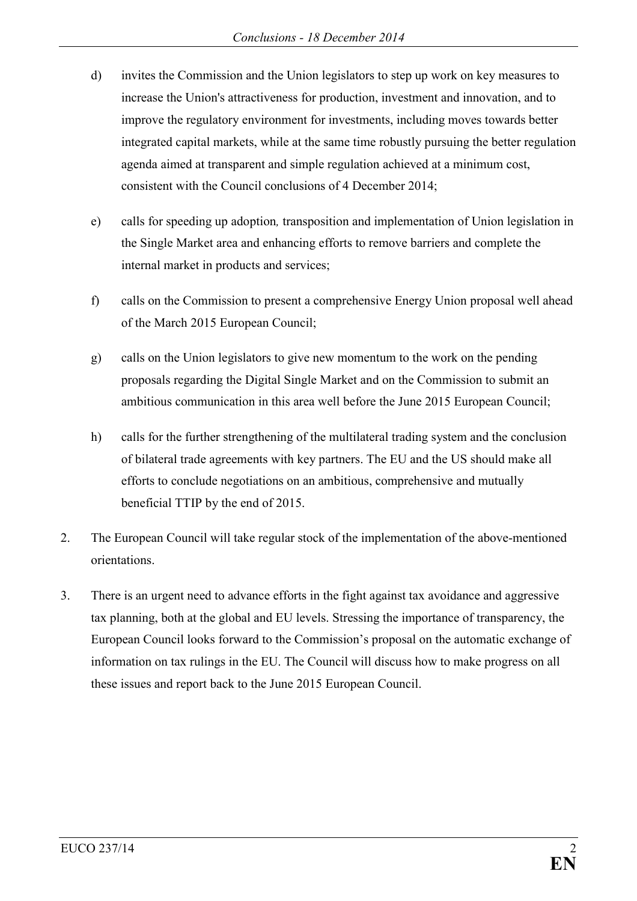- d) invites the Commission and the Union legislators to step up work on key measures to increase the Union's attractiveness for production, investment and innovation, and to improve the regulatory environment for investments, including moves towards better integrated capital markets, while at the same time robustly pursuing the better regulation agenda aimed at transparent and simple regulation achieved at a minimum cost, consistent with the Council conclusions of 4 December 2014;
- e) calls for speeding up adoption*,* transposition and implementation of Union legislation in the Single Market area and enhancing efforts to remove barriers and complete the internal market in products and services;
- f) calls on the Commission to present a comprehensive Energy Union proposal well ahead of the March 2015 European Council;
- g) calls on the Union legislators to give new momentum to the work on the pending proposals regarding the Digital Single Market and on the Commission to submit an ambitious communication in this area well before the June 2015 European Council;
- h) calls for the further strengthening of the multilateral trading system and the conclusion of bilateral trade agreements with key partners. The EU and the US should make all efforts to conclude negotiations on an ambitious, comprehensive and mutually beneficial TTIP by the end of 2015.
- 2. The European Council will take regular stock of the implementation of the above-mentioned orientations.
- 3. There is an urgent need to advance efforts in the fight against tax avoidance and aggressive tax planning, both at the global and EU levels. Stressing the importance of transparency, the European Council looks forward to the Commission's proposal on the automatic exchange of information on tax rulings in the EU. The Council will discuss how to make progress on all these issues and report back to the June 2015 European Council.